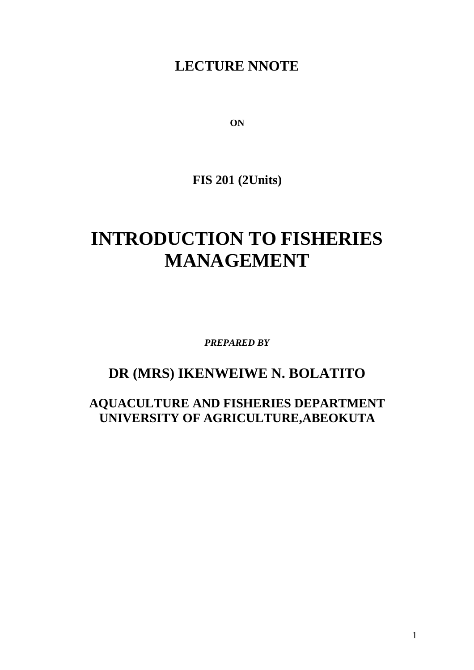# **LECTURE NNOTE**

**ON**

**FIS 201 (2Units)**

# **INTRODUCTION TO FISHERIES MANAGEMENT**

*PREPARED BY*

# **DR (MRS) IKENWEIWE N. BOLATITO**

**AQUACULTURE AND FISHERIES DEPARTMENT UNIVERSITY OF AGRICULTURE,ABEOKUTA**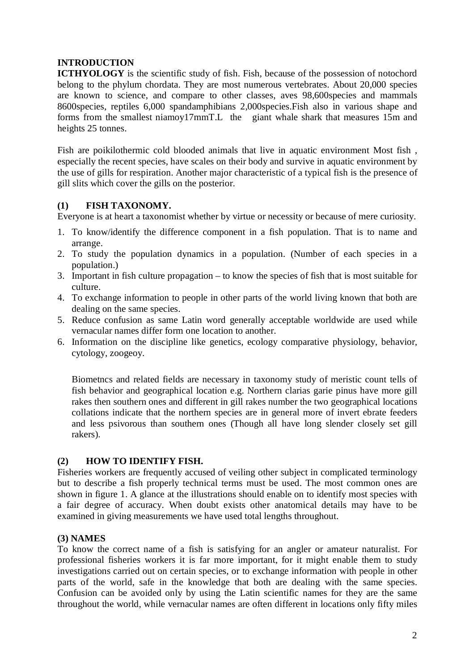# **INTRODUCTION**

**ICTHYOLOGY** is the scientific study of fish. Fish, because of the possession of notochord belong to the phylum chordata. They are most numerous vertebrates. About 20,000 species are known to science, and compare to other classes, aves 98,600species and mammals 8600species, reptiles 6,000 spandamphibians 2,000species.Fish also in various shape and forms from the smallest niamoy17mmT.L the giant whale shark that measures 15m and heights 25 tonnes.

Fish are poikilothermic cold blooded animals that live in aquatic environment Most fish , especially the recent species, have scales on their body and survive in aquatic environment by the use of gills for respiration. Another major characteristic of a typical fish is the presence of gill slits which cover the gills on the posterior.

# **(1) FISH TAXONOMY.**

Everyone is at heart a taxonomist whether by virtue or necessity or because of mere curiosity.

- 1. To know/identify the difference component in a fish population. That is to name and arrange.
- 2. To study the population dynamics in a population. (Number of each species in a population.)
- 3. Important in fish culture propagation to know the species of fish that is most suitable for culture.
- 4. To exchange information to people in other parts of the world living known that both are dealing on the same species.
- 5. Reduce confusion as same Latin word generally acceptable worldwide are used while vernacular names differ form one location to another.
- 6. Information on the discipline like genetics, ecology comparative physiology, behavior, cytology, zoogeoy.

Biometncs and related fields are necessary in taxonomy study of meristic count tells of fish behavior and geographical location e.g. Northern clarias garie pinus have more gill rakes then southern ones and different in gill rakes number the two geographical locations collations indicate that the northern species are in general more of invert ebrate feeders and less psivorous than southern ones (Though all have long slender closely set gill rakers).

# **(2) HOW TO IDENTIFY FISH.**

Fisheries workers are frequently accused of veiling other subject in complicated terminology but to describe a fish properly technical terms must be used. The most common ones are shown in figure 1. A glance at the illustrations should enable on to identify most species with a fair degree of accuracy. When doubt exists other anatomical details may have to be examined in giving measurements we have used total lengths throughout.

# **(3) NAMES**

To know the correct name of a fish is satisfying for an angler or amateur naturalist. For professional fisheries workers it is far more important, for it might enable them to study investigations carried out on certain species, or to exchange information with people in other parts of the world, safe in the knowledge that both are dealing with the same species. Confusion can be avoided only by using the Latin scientific names for they are the same throughout the world, while vernacular names are often different in locations only fifty miles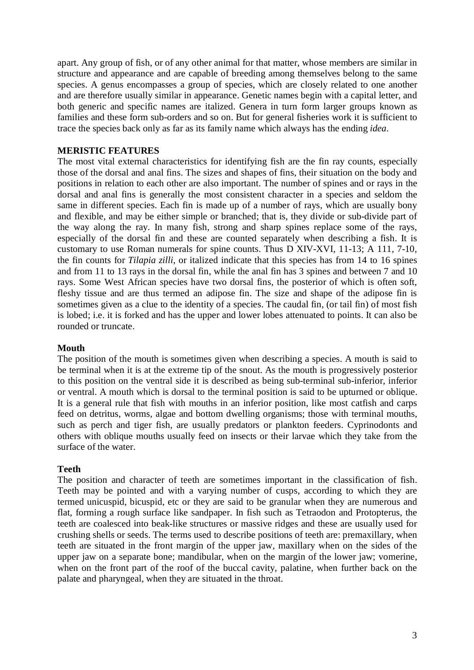apart. Any group of fish, or of any other animal for that matter, whose members are similar in structure and appearance and are capable of breeding among themselves belong to the same species. A genus encompasses a group of species, which are closely related to one another and are therefore usually similar in appearance. Genetic names begin with a capital letter, and both generic and specific names are italized. Genera in turn form larger groups known as families and these form sub-orders and so on. But for general fisheries work it is sufficient to trace the species back only as far as its family name which always has the ending *idea*.

# **MERISTIC FEATURES**

The most vital external characteristics for identifying fish are the fin ray counts, especially those of the dorsal and anal fins. The sizes and shapes of fins, their situation on the body and positions in relation to each other are also important. The number of spines and or rays in the dorsal and anal fins is generally the most consistent character in a species and seldom the same in different species. Each fin is made up of a number of rays, which are usually bony and flexible, and may be either simple or branched; that is, they divide or sub-divide part of the way along the ray. In many fish, strong and sharp spines replace some of the rays, especially of the dorsal fin and these are counted separately when describing a fish. It is customary to use Roman numerals for spine counts. Thus D XIV-XVI, 11-13; A 111, 7-10, the fin counts for *Tilapia zilli*, or italized indicate that this species has from 14 to 16 spines and from 11 to 13 rays in the dorsal fin, while the anal fin has 3 spines and between 7 and 10 rays. Some West African species have two dorsal fins, the posterior of which is often soft, fleshy tissue and are thus termed an adipose fin. The size and shape of the adipose fin is sometimes given as a clue to the identity of a species. The caudal fin, (or tail fin) of most fish is lobed; i.e. it is forked and has the upper and lower lobes attenuated to points. It can also be rounded or truncate.

#### **Mouth**

The position of the mouth is sometimes given when describing a species. A mouth is said to be terminal when it is at the extreme tip of the snout. As the mouth is progressively posterior to this position on the ventral side it is described as being sub-terminal sub-inferior, inferior or ventral. A mouth which is dorsal to the terminal position is said to be upturned or oblique. It is a general rule that fish with mouths in an inferior position, like most catfish and carps feed on detritus, worms, algae and bottom dwelling organisms; those with terminal mouths, such as perch and tiger fish, are usually predators or plankton feeders. Cyprinodonts and others with oblique mouths usually feed on insects or their larvae which they take from the surface of the water.

#### **Teeth**

The position and character of teeth are sometimes important in the classification of fish. Teeth may be pointed and with a varying number of cusps, according to which they are termed unicuspid, bicuspid, etc or they are said to be granular when they are numerous and flat, forming a rough surface like sandpaper. In fish such as Tetraodon and Protopterus, the teeth are coalesced into beak-like structures or massive ridges and these are usually used for crushing shells or seeds. The terms used to describe positions of teeth are: premaxillary, when teeth are situated in the front margin of the upper jaw, maxillary when on the sides of the upper jaw on a separate bone; mandibular, when on the margin of the lower jaw; vomerine, when on the front part of the roof of the buccal cavity, palatine, when further back on the palate and pharyngeal, when they are situated in the throat.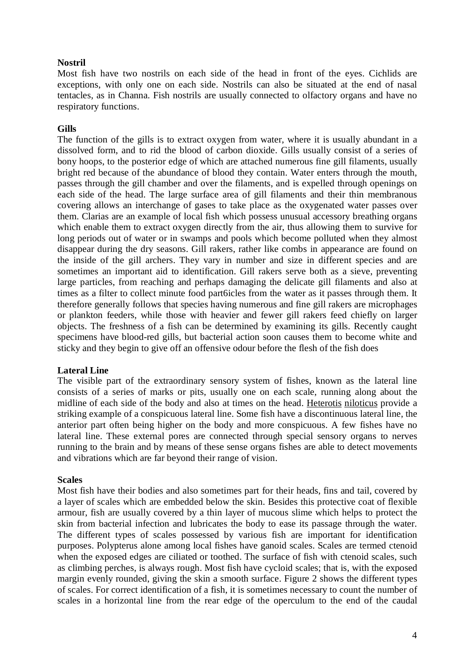#### **Nostril**

Most fish have two nostrils on each side of the head in front of the eyes. Cichlids are exceptions, with only one on each side. Nostrils can also be situated at the end of nasal tentacles, as in Channa. Fish nostrils are usually connected to olfactory organs and have no respiratory functions.

#### **Gills**

The function of the gills is to extract oxygen from water, where it is usually abundant in a dissolved form, and to rid the blood of carbon dioxide. Gills usually consist of a series of bony hoops, to the posterior edge of which are attached numerous fine gill filaments, usually bright red because of the abundance of blood they contain. Water enters through the mouth, passes through the gill chamber and over the filaments, and is expelled through openings on each side of the head. The large surface area of gill filaments and their thin membranous covering allows an interchange of gases to take place as the oxygenated water passes over them. Clarias are an example of local fish which possess unusual accessory breathing organs which enable them to extract oxygen directly from the air, thus allowing them to survive for long periods out of water or in swamps and pools which become polluted when they almost disappear during the dry seasons. Gill rakers, rather like combs in appearance are found on the inside of the gill archers. They vary in number and size in different species and are sometimes an important aid to identification. Gill rakers serve both as a sieve, preventing large particles, from reaching and perhaps damaging the delicate gill filaments and also at times as a filter to collect minute food part6icles from the water as it passes through them. It therefore generally follows that species having numerous and fine gill rakers are microphages or plankton feeders, while those with heavier and fewer gill rakers feed chiefly on larger objects. The freshness of a fish can be determined by examining its gills. Recently caught specimens have blood-red gills, but bacterial action soon causes them to become white and sticky and they begin to give off an offensive odour before the flesh of the fish does

#### **Lateral Line**

The visible part of the extraordinary sensory system of fishes, known as the lateral line consists of a series of marks or pits, usually one on each scale, running along about the midline of each side of the body and also at times on the head. Heterotis niloticus provide a striking example of a conspicuous lateral line. Some fish have a discontinuous lateral line, the anterior part often being higher on the body and more conspicuous. A few fishes have no lateral line. These external pores are connected through special sensory organs to nerves running to the brain and by means of these sense organs fishes are able to detect movements and vibrations which are far beyond their range of vision.

#### **Scales**

Most fish have their bodies and also sometimes part for their heads, fins and tail, covered by a layer of scales which are embedded below the skin. Besides this protective coat of flexible armour, fish are usually covered by a thin layer of mucous slime which helps to protect the skin from bacterial infection and lubricates the body to ease its passage through the water. The different types of scales possessed by various fish are important for identification purposes. Polypterus alone among local fishes have ganoid scales. Scales are termed ctenoid when the exposed edges are ciliated or toothed. The surface of fish with ctenoid scales, such as climbing perches, is always rough. Most fish have cycloid scales; that is, with the exposed margin evenly rounded, giving the skin a smooth surface. Figure 2 shows the different types of scales. For correct identification of a fish, it is sometimes necessary to count the number of scales in a horizontal line from the rear edge of the operculum to the end of the caudal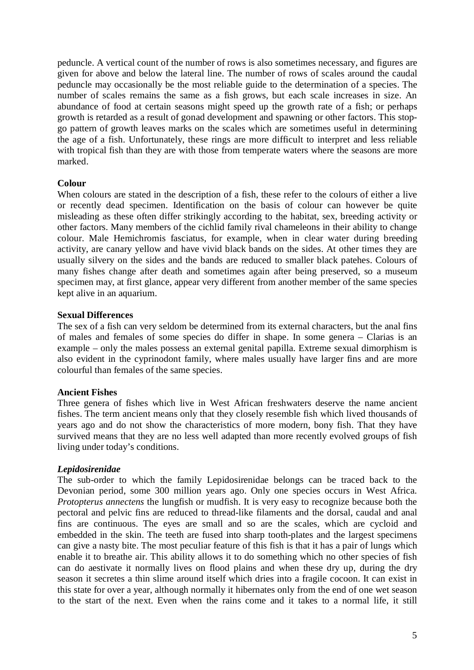peduncle. A vertical count of the number of rows is also sometimes necessary, and figures are given for above and below the lateral line. The number of rows of scales around the caudal peduncle may occasionally be the most reliable guide to the determination of a species. The number of scales remains the same as a fish grows, but each scale increases in size. An abundance of food at certain seasons might speed up the growth rate of a fish; or perhaps growth is retarded as a result of gonad development and spawning or other factors. This stopgo pattern of growth leaves marks on the scales which are sometimes useful in determining the age of a fish. Unfortunately, these rings are more difficult to interpret and less reliable with tropical fish than they are with those from temperate waters where the seasons are more marked.

#### **Colour**

When colours are stated in the description of a fish, these refer to the colours of either a live or recently dead specimen. Identification on the basis of colour can however be quite misleading as these often differ strikingly according to the habitat, sex, breeding activity or other factors. Many members of the cichlid family rival chameleons in their ability to change colour. Male Hemichromis fasciatus, for example, when in clear water during breeding activity, are canary yellow and have vivid black bands on the sides. At other times they are usually silvery on the sides and the bands are reduced to smaller black patehes. Colours of many fishes change after death and sometimes again after being preserved, so a museum specimen may, at first glance, appear very different from another member of the same species kept alive in an aquarium.

#### **Sexual Differences**

The sex of a fish can very seldom be determined from its external characters, but the anal fins of males and females of some species do differ in shape. In some genera – Clarias is an example – only the males possess an external genital papilla. Extreme sexual dimorphism is also evident in the cyprinodont family, where males usually have larger fins and are more colourful than females of the same species.

# **Ancient Fishes**

Three genera of fishes which live in West African freshwaters deserve the name ancient fishes. The term ancient means only that they closely resemble fish which lived thousands of years ago and do not show the characteristics of more modern, bony fish. That they have survived means that they are no less well adapted than more recently evolved groups of fish living under today's conditions.

# *Lepidosirenidae*

The sub-order to which the family Lepidosirenidae belongs can be traced back to the Devonian period, some 300 million years ago. Only one species occurs in West Africa. *Protopterus annectens* the lungfish or mudfish. It is very easy to recognize because both the pectoral and pelvic fins are reduced to thread-like filaments and the dorsal, caudal and anal fins are continuous. The eyes are small and so are the scales, which are cycloid and embedded in the skin. The teeth are fused into sharp tooth-plates and the largest specimens can give a nasty bite. The most peculiar feature of this fish is that it has a pair of lungs which enable it to breathe air. This ability allows it to do something which no other species of fish can do aestivate it normally lives on flood plains and when these dry up, during the dry season it secretes a thin slime around itself which dries into a fragile cocoon. It can exist in this state for over a year, although normally it hibernates only from the end of one wet season to the start of the next. Even when the rains come and it takes to a normal life, it still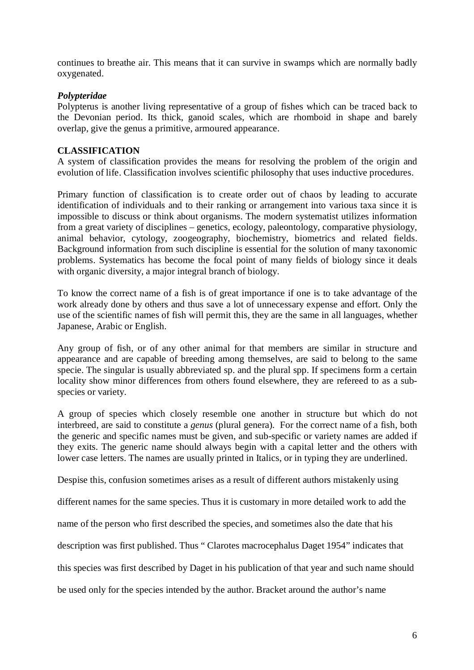continues to breathe air. This means that it can survive in swamps which are normally badly oxygenated.

### *Polypteridae*

Polypterus is another living representative of a group of fishes which can be traced back to the Devonian period. Its thick, ganoid scales, which are rhomboid in shape and barely overlap, give the genus a primitive, armoured appearance.

### **CLASSIFICATION**

A system of classification provides the means for resolving the problem of the origin and evolution of life. Classification involves scientific philosophy that uses inductive procedures.

Primary function of classification is to create order out of chaos by leading to accurate identification of individuals and to their ranking or arrangement into various taxa since it is impossible to discuss or think about organisms. The modern systematist utilizes information from a great variety of disciplines – genetics, ecology, paleontology, comparative physiology, animal behavior, cytology, zoogeography, biochemistry, biometrics and related fields. Background information from such discipline is essential for the solution of many taxonomic problems. Systematics has become the focal point of many fields of biology since it deals with organic diversity, a major integral branch of biology.

To know the correct name of a fish is of great importance if one is to take advantage of the work already done by others and thus save a lot of unnecessary expense and effort. Only the use of the scientific names of fish will permit this, they are the same in all languages, whether Japanese, Arabic or English.

Any group of fish, or of any other animal for that members are similar in structure and appearance and are capable of breeding among themselves, are said to belong to the same specie. The singular is usually abbreviated sp. and the plural spp. If specimens form a certain locality show minor differences from others found elsewhere, they are refereed to as a subspecies or variety.

A group of species which closely resemble one another in structure but which do not interbreed, are said to constitute a *genus* (plural genera). For the correct name of a fish, both the generic and specific names must be given, and sub-specific or variety names are added if they exits. The generic name should always begin with a capital letter and the others with lower case letters. The names are usually printed in Italics, or in typing they are underlined.

Despise this, confusion sometimes arises as a result of different authors mistakenly using

different names for the same species. Thus it is customary in more detailed work to add the

name of the person who first described the species, and sometimes also the date that his

description was first published. Thus " Clarotes macrocephalus Daget 1954" indicates that

this species was first described by Daget in his publication of that year and such name should

be used only for the species intended by the author. Bracket around the author's name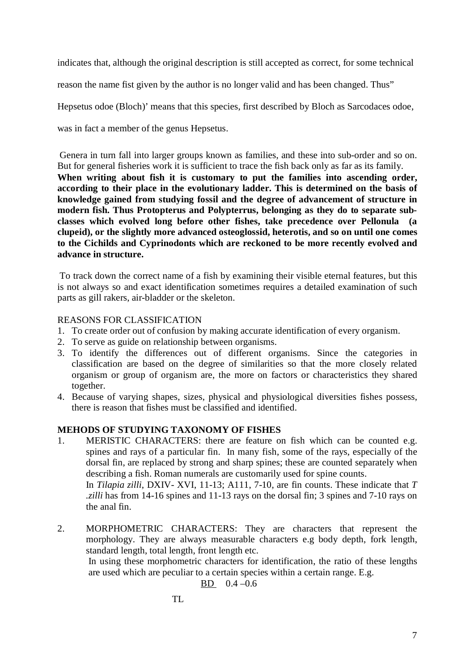indicates that, although the original description is still accepted as correct, for some technical

reason the name fist given by the author is no longer valid and has been changed. Thus"

Hepsetus odoe (Bloch)' means that this species, first described by Bloch as Sarcodaces odoe,

was in fact a member of the genus Hepsetus.

Genera in turn fall into larger groups known as families, and these into sub-order and so on. But for general fisheries work it is sufficient to trace the fish back only as far as its family. **When writing about fish it is customary to put the families into ascending order, according to their place in the evolutionary ladder. This is determined on the basis of knowledge gained from studying fossil and the degree of advancement of structure in modern fish. Thus Protopterus and Polypterrus, belonging as they do to separate subclasses which evolved long before other fishes, take precedence over Pellonula (a clupeid), or the slightly more advanced osteoglossid, heterotis, and so on until one comes to the Cichilds and Cyprinodonts which are reckoned to be more recently evolved and advance in structure.** 

To track down the correct name of a fish by examining their visible eternal features, but this is not always so and exact identification sometimes requires a detailed examination of such parts as gill rakers, air-bladder or the skeleton.

# REASONS FOR CLASSIFICATION

- 1. To create order out of confusion by making accurate identification of every organism.
- 2. To serve as guide on relationship between organisms.
- 3. To identify the differences out of different organisms. Since the categories in classification are based on the degree of similarities so that the more closely related organism or group of organism are, the more on factors or characteristics they shared together.
- 4. Because of varying shapes, sizes, physical and physiological diversities fishes possess, there is reason that fishes must be classified and identified.

# **MEHODS OF STUDYING TAXONOMY OF FISHES**

- 1. MERISTIC CHARACTERS: there are feature on fish which can be counted e.g. spines and rays of a particular fin. In many fish, some of the rays, especially of the dorsal fin, are replaced by strong and sharp spines; these are counted separately when describing a fish. Roman numerals are customarily used for spine counts. In *Tilapia zilli*, DXIV- XVI, 11-13; A111, 7-10, are fin counts. These indicate that *T .zilli* has from 14-16 spines and 11-13 rays on the dorsal fin; 3 spines and 7-10 rays on the anal fin.
- 2. MORPHOMETRIC CHARACTERS: They are characters that represent the morphology. They are always measurable characters e.g body depth, fork length, standard length, total length, front length etc.

In using these morphometric characters for identification, the ratio of these lengths are used which are peculiar to a certain species within a certain range. E.g.

$$
BD 0.4 - 0.6
$$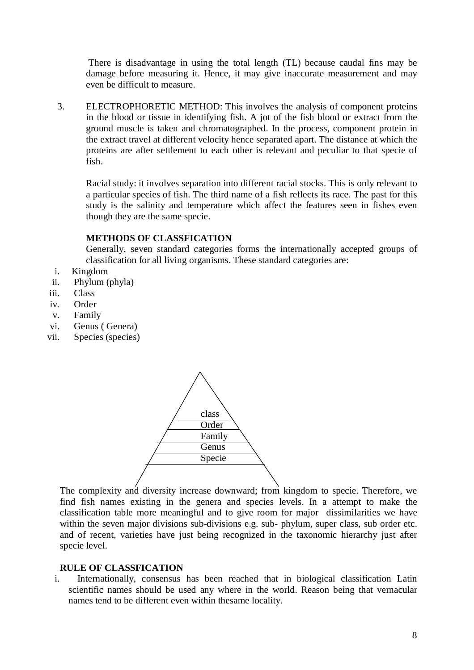There is disadvantage in using the total length (TL) because caudal fins may be damage before measuring it. Hence, it may give inaccurate measurement and may even be difficult to measure.

3. ELECTROPHORETIC METHOD: This involves the analysis of component proteins in the blood or tissue in identifying fish. A jot of the fish blood or extract from the ground muscle is taken and chromatographed. In the process, component protein in the extract travel at different velocity hence separated apart. The distance at which the proteins are after settlement to each other is relevant and peculiar to that specie of fish.

Racial study: it involves separation into different racial stocks. This is only relevant to a particular species of fish. The third name of a fish reflects its race. The past for this study is the salinity and temperature which affect the features seen in fishes even though they are the same specie.

#### **METHODS OF CLASSFICATION**

Generally, seven standard categories forms the internationally accepted groups of classification for all living organisms. These standard categories are:

- i. Kingdom
- ii. Phylum (phyla)
- iii. Class
- iv. Order
- v. Family
- vi. Genus ( Genera)
- vii. Species (species)



The complexity and diversity increase downward; from kingdom to specie. Therefore, we find fish names existing in the genera and species levels. In a attempt to make the classification table more meaningful and to give room for major dissimilarities we have within the seven major divisions sub-divisions e.g. sub- phylum, super class, sub order etc. and of recent, varieties have just being recognized in the taxonomic hierarchy just after specie level.

# **RULE OF CLASSFICATION**

i. Internationally, consensus has been reached that in biological classification Latin scientific names should be used any where in the world. Reason being that vernacular names tend to be different even within thesame locality.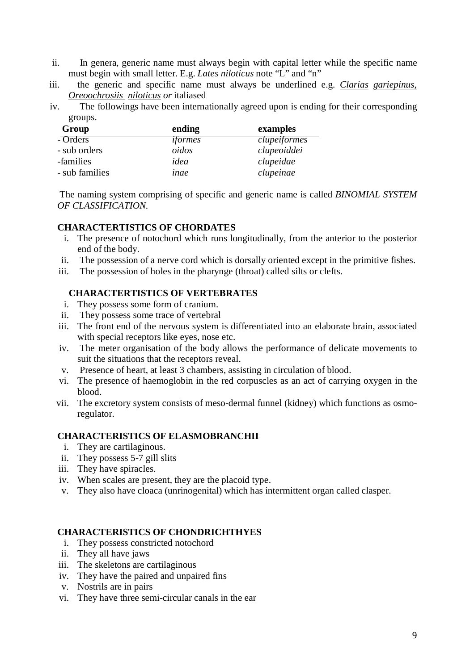- ii. In genera, generic name must always begin with capital letter while the specific name must begin with small letter. E.g. *Lates niloticus* note "L" and "n"
- iii. the generic and specific name must always be underlined e.g. *Clarias gariepinus*, *Oreoochrosiis niloticus or* italiased
- iv. The followings have been internationally agreed upon is ending for their corresponding groups.

| Group          | ending         | examples     |
|----------------|----------------|--------------|
| - Orders       | <i>iformes</i> | clupeiformes |
| - sub orders   | oidos          | clupeoiddei  |
| -families      | idea           | clupeidae    |
| - sub families | inae           | clupeinae    |

The naming system comprising of specific and generic name is called *BINOMIAL SYSTEM OF CLASSIFICATION.*

# **CHARACTERTISTICS OF CHORDATES**

- i. The presence of notochord which runs longitudinally, from the anterior to the posterior end of the body.
- ii. The possession of a nerve cord which is dorsally oriented except in the primitive fishes.
- iii. The possession of holes in the pharynge (throat) called silts or clefts.

# **CHARACTERTISTICS OF VERTEBRATES**

- i. They possess some form of cranium.
- ii. They possess some trace of vertebral
- iii. The front end of the nervous system is differentiated into an elaborate brain, associated with special receptors like eyes, nose etc.
- iv. The meter organisation of the body allows the performance of delicate movements to suit the situations that the receptors reveal.
- v. Presence of heart, at least 3 chambers, assisting in circulation of blood.
- vi. The presence of haemoglobin in the red corpuscles as an act of carrying oxygen in the blood.
- vii. The excretory system consists of meso-dermal funnel (kidney) which functions as osmoregulator.

#### **CHARACTERISTICS OF ELASMOBRANCHII**

- i. They are cartilaginous.
- ii. They possess 5-7 gill slits
- iii. They have spiracles.
- iv. When scales are present, they are the placoid type.
- v. They also have cloaca (unrinogenital) which has intermittent organ called clasper.

#### **CHARACTERISTICS OF CHONDRICHTHYES**

- i. They possess constricted notochord
- ii. They all have jaws
- iii. The skeletons are cartilaginous
- iv. They have the paired and unpaired fins
- v. Nostrils are in pairs
- vi. They have three semi-circular canals in the ear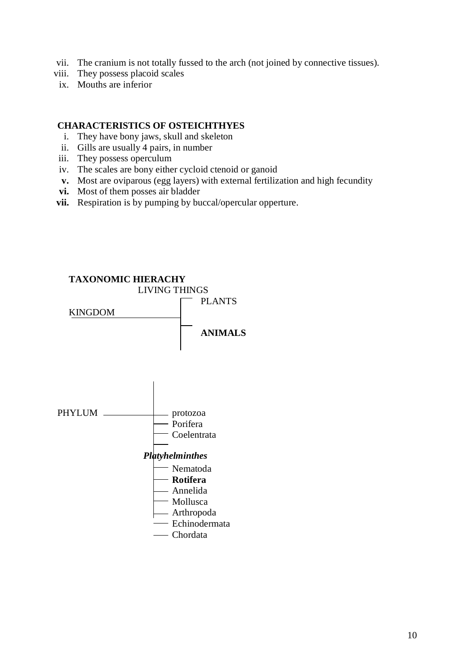- vii. The cranium is not totally fussed to the arch (not joined by connective tissues).
- viii. They possess placoid scales
- ix. Mouths are inferior

#### **CHARACTERISTICS OF OSTEICHTHYES**

- i. They have bony jaws, skull and skeleton
- ii. Gills are usually 4 pairs, in number
- iii. They possess operculum
- iv. The scales are bony either cycloid ctenoid or ganoid
- **v.** Most are oviparous (egg layers) with external fertilization and high fecundity
- **vi.** Most of them posses air bladder
- **vii.** Respiration is by pumping by buccal/opercular opperture.

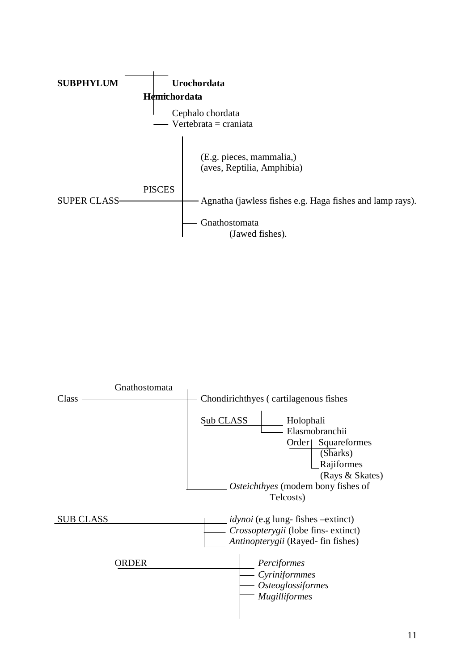

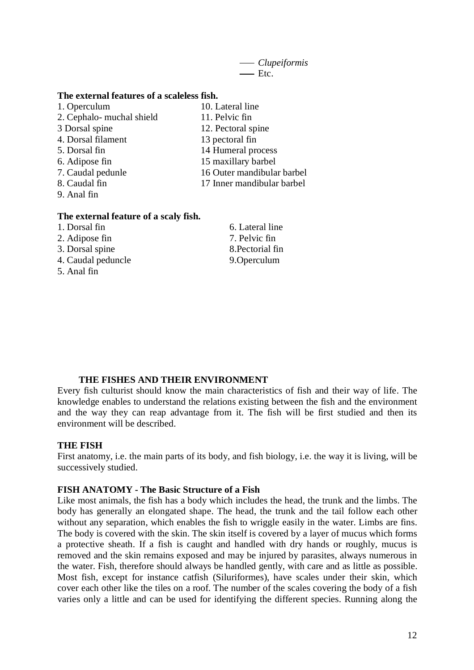*Clupeiformis*  $\overline{\phantom{a}}$ Etc.

#### **The external features of a scaleless fish.**

- 1. Operculum 10. Lateral line 2. Cephalo- muchal shield 11. Pelvic fin
- 3 Dorsal spine 12. Pectoral spine
- 4. Dorsal filament 13 pectoral fin
- 5. Dorsal fin 14 Humeral process
- 6. Adipose fin 15 maxillary barbel
- 7. Caudal pedunle 16 Outer mandibular barbel
- 8. Caudal fin 17 Inner mandibular barbel
- 9. Anal fin

#### **The external feature of a scaly fish.**

- 
- 2. Adipose fin 7. Pelvic fin
- 3. Dorsal spine 8.Pectorial fin
- 4. Caudal peduncle 9.Operculum
- 5. Anal fin
- 1. Dorsal fin 6. Lateral line

#### **THE FISHES AND THEIR ENVIRONMENT**

Every fish culturist should know the main characteristics of fish and their way of life. The knowledge enables to understand the relations existing between the fish and the environment and the way they can reap advantage from it. The fish will be first studied and then its environment will be described.

#### **THE FISH**

First anatomy, i.e. the main parts of its body, and fish biology, i.e. the way it is living, will be successively studied.

#### **FISH ANATOMY - The Basic Structure of a Fish**

Like most animals, the fish has a body which includes the head, the trunk and the limbs. The body has generally an elongated shape. The head, the trunk and the tail follow each other without any separation, which enables the fish to wriggle easily in the water. Limbs are fins. The body is covered with the skin. The skin itself is covered by a layer of mucus which forms a protective sheath. If a fish is caught and handled with dry hands or roughly, mucus is removed and the skin remains exposed and may be injured by parasites, always numerous in the water. Fish, therefore should always be handled gently, with care and as little as possible. Most fish, except for instance catfish (Siluriformes), have scales under their skin, which cover each other like the tiles on a roof. The number of the scales covering the body of a fish varies only a little and can be used for identifying the different species. Running along the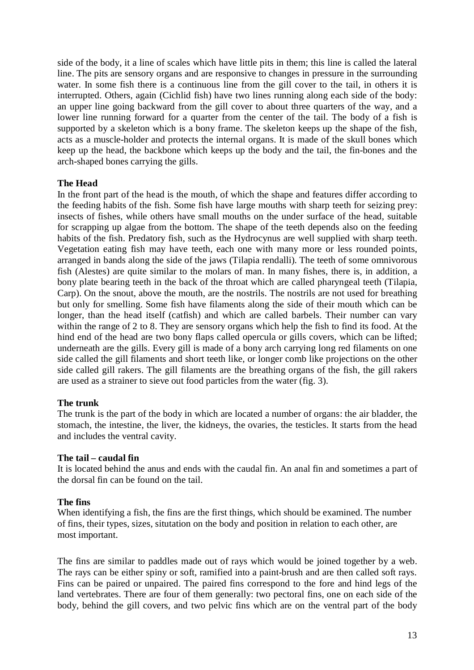side of the body, it a line of scales which have little pits in them; this line is called the lateral line. The pits are sensory organs and are responsive to changes in pressure in the surrounding water. In some fish there is a continuous line from the gill cover to the tail, in others it is interrupted. Others, again (Cichlid fish) have two lines running along each side of the body: an upper line going backward from the gill cover to about three quarters of the way, and a lower line running forward for a quarter from the center of the tail. The body of a fish is supported by a skeleton which is a bony frame. The skeleton keeps up the shape of the fish, acts as a muscle-holder and protects the internal organs. It is made of the skull bones which keep up the head, the backbone which keeps up the body and the tail, the fin-bones and the arch-shaped bones carrying the gills.

#### **The Head**

In the front part of the head is the mouth, of which the shape and features differ according to the feeding habits of the fish. Some fish have large mouths with sharp teeth for seizing prey: insects of fishes, while others have small mouths on the under surface of the head, suitable for scrapping up algae from the bottom. The shape of the teeth depends also on the feeding habits of the fish. Predatory fish, such as the Hydrocynus are well supplied with sharp teeth. Vegetation eating fish may have teeth, each one with many more or less rounded points, arranged in bands along the side of the jaws (Tilapia rendalli). The teeth of some omnivorous fish (Alestes) are quite similar to the molars of man. In many fishes, there is, in addition, a bony plate bearing teeth in the back of the throat which are called pharyngeal teeth (Tilapia, Carp). On the snout, above the mouth, are the nostrils. The nostrils are not used for breathing but only for smelling. Some fish have filaments along the side of their mouth which can be longer, than the head itself (catfish) and which are called barbels. Their number can vary within the range of 2 to 8. They are sensory organs which help the fish to find its food. At the hind end of the head are two bony flaps called opercula or gills covers, which can be lifted; underneath are the gills. Every gill is made of a bony arch carrying long red filaments on one side called the gill filaments and short teeth like, or longer comb like projections on the other side called gill rakers. The gill filaments are the breathing organs of the fish, the gill rakers are used as a strainer to sieve out food particles from the water (fig. 3).

# **The trunk**

The trunk is the part of the body in which are located a number of organs: the air bladder, the stomach, the intestine, the liver, the kidneys, the ovaries, the testicles. It starts from the head and includes the ventral cavity.

#### **The tail – caudal fin**

It is located behind the anus and ends with the caudal fin. An anal fin and sometimes a part of the dorsal fin can be found on the tail.

#### **The fins**

When identifying a fish, the fins are the first things, which should be examined. The number of fins, their types, sizes, situtation on the body and position in relation to each other, are most important.

The fins are similar to paddles made out of rays which would be joined together by a web. The rays can be either spiny or soft, ramified into a paint-brush and are then called soft rays. Fins can be paired or unpaired. The paired fins correspond to the fore and hind legs of the land vertebrates. There are four of them generally: two pectoral fins, one on each side of the body, behind the gill covers, and two pelvic fins which are on the ventral part of the body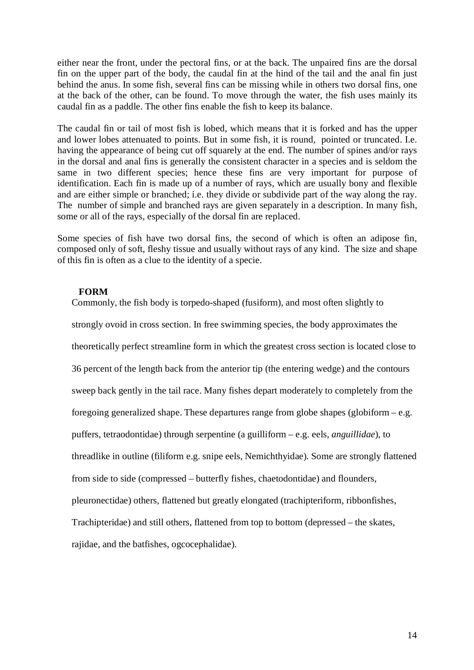either near the front, under the pectoral fins, or at the back. The unpaired fins are the dorsal fin on the upper part of the body, the caudal fin at the hind of the tail and the anal fin just behind the anus. In some fish, several fins can be missing while in others two dorsal fins, one at the back of the other, can be found. To move through the water, the fish uses mainly its caudal fin as a paddle. The other fins enable the fish to keep its balance.

The caudal fin or tail of most fish is lobed, which means that it is forked and has the upper and lower lobes attenuated to points. But in some fish, it is round, pointed or truncated. I.e. having the appearance of being cut off squarely at the end. The number of spines and/or rays in the dorsal and anal fins is generally the consistent character in a species and is seldom the same in two different species; hence these fins are very important for purpose of identification. Each fin is made up of a number of rays, which are usually bony and flexible and are either simple or branched; i.e. they divide or subdivide part of the way along the ray. The number of simple and branched rays are given separately in a description. In many fish, some or all of the rays, especially of the dorsal fin are replaced.

Some species of fish have two dorsal fins, the second of which is often an adipose fin, composed only of soft, fleshy tissue and usually without rays of any kind. The size and shape of this fin is often as a clue to the identity of a specie.

#### **FORM**

Commonly, the fish body is torpedo-shaped (fusiform), and most often slightly to

strongly ovoid in cross section. In free swimming species, the body approximates the

theoretically perfect streamline form in which the greatest cross section is located close to

36 percent of the length back from the anterior tip (the entering wedge) and the contours

sweep back gently in the tail race. Many fishes depart moderately to completely from the

foregoing generalized shape. These departures range from globe shapes (globiform – e.g.

puffers, tetraodontidae) through serpentine (a guilliform – e.g. eels, *anguillidae*), to

threadlike in outline (filiform e.g. snipe eels, Nemichthyidae). Some are strongly flattened

from side to side (compressed – butterfly fishes, chaetodontidae) and flounders,

pleuronectidae) others, flattened but greatly elongated (trachipteriform, ribbonfishes,

Trachipteridae) and still others, flattened from top to bottom (depressed – the skates,

rajidae, and the batfishes, ogcocephalidae).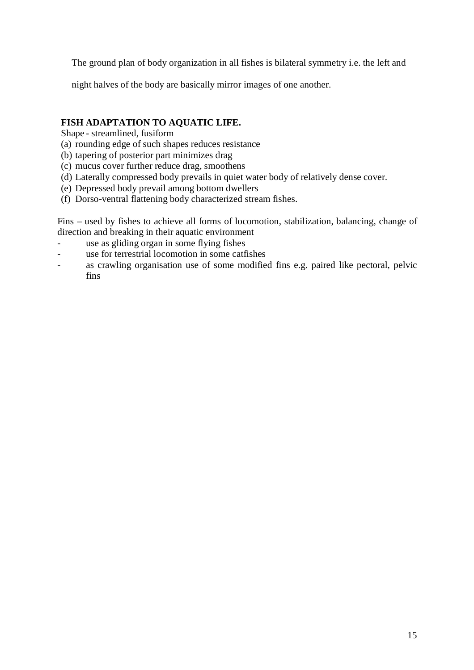The ground plan of body organization in all fishes is bilateral symmetry i.e. the left and

night halves of the body are basically mirror images of one another.

# **FISH ADAPTATION TO AQUATIC LIFE.**

Shape - streamlined, fusiform

- (a) rounding edge of such shapes reduces resistance
- (b) tapering of posterior part minimizes drag
- (c) mucus cover further reduce drag, smoothens
- (d) Laterally compressed body prevails in quiet water body of relatively dense cover.
- (e) Depressed body prevail among bottom dwellers
- (f) Dorso-ventral flattening body characterized stream fishes.

Fins – used by fishes to achieve all forms of locomotion, stabilization, balancing, change of direction and breaking in their aquatic environment

- use as gliding organ in some flying fishes
- use for terrestrial locomotion in some catfishes
- as crawling organisation use of some modified fins e.g. paired like pectoral, pelvic fins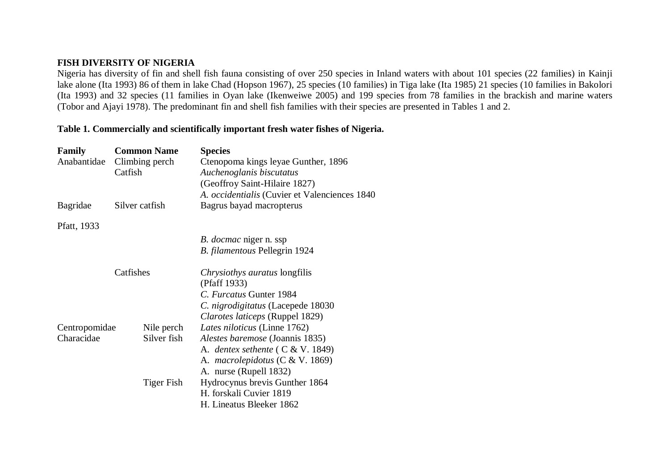# **FISH DIVERSITY OF NIGERIA**

Nigeria has diversity of fin and shell fish fauna consisting of over 250 species in Inland waters with about 101 species (22 families) in Kainji lake alone (Ita 1993) 86 of them in lake Chad (Hopson 1967), 25 species (10 families) in Tiga lake (Ita 1985) 21 species (10 families in Bakolori (Ita 1993) and 32 species (11 families in Oyan lake (Ikenweiwe 2005) and 199 species from 78 families in the brackish and marine waters (Tobor and Ajayi 1978). The predominant fin and shell fish families with their species are presented in Tables 1 and 2.

#### **Table 1. Commercially and scientifically important fresh water fishes of Nigeria.**

| Family        | <b>Common Name</b> | <b>Species</b>                                |
|---------------|--------------------|-----------------------------------------------|
| Anabantidae   | Climbing perch     | Ctenopoma kings leyae Gunther, 1896           |
|               | Catfish            | Auchenoglanis biscutatus                      |
|               |                    | (Geoffroy Saint-Hilaire 1827)                 |
|               |                    | A. occidentialis (Cuvier et Valenciences 1840 |
| Bagridae      | Silver catfish     | Bagrus bayad macropterus                      |
| Pfatt, 1933   |                    |                                               |
|               |                    | <i>B. docmac</i> niger n. ssp                 |
|               |                    | B. filamentous Pellegrin 1924                 |
|               | Catfishes          | Chrysiothys auratus longfilis                 |
|               |                    | (Pfaff 1933)                                  |
|               |                    | C. Furcatus Gunter 1984                       |
|               |                    | C. nigrodigitatus (Lacepede 18030             |
|               |                    | Clarotes laticeps (Ruppel 1829)               |
| Centropomidae | Nile perch         | Lates niloticus (Linne 1762)                  |
| Characidae    | Silver fish        | <i>Alestes baremose</i> (Joannis 1835)        |
|               |                    | A. dentex sethente $(C & V. 1849)$            |
|               |                    | A. <i>macrolepidotus</i> (C & V. 1869)        |
|               |                    | A. nurse (Rupell 1832)                        |
|               | <b>Tiger Fish</b>  | Hydrocynus brevis Gunther 1864                |
|               |                    | H. forskali Cuvier 1819                       |
|               |                    | H. Lineatus Bleeker 1862                      |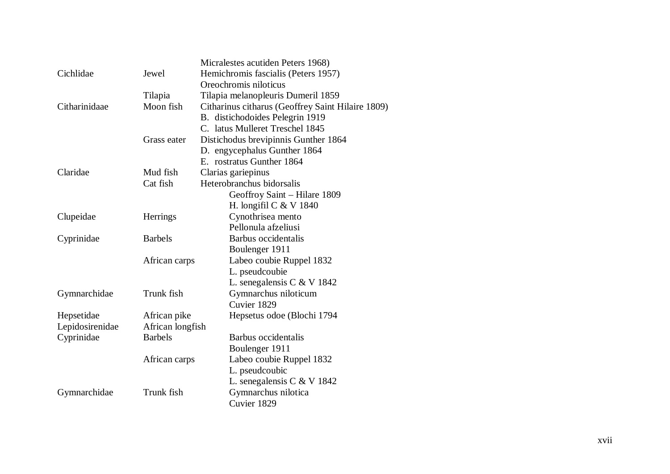|                 |                  | Micralestes acutiden Peters 1968)                 |
|-----------------|------------------|---------------------------------------------------|
| Cichlidae       | Jewel            | Hemichromis fascialis (Peters 1957)               |
|                 |                  | Oreochromis niloticus                             |
|                 | Tilapia          | Tilapia melanopleuris Dumeril 1859                |
| Citharinidaae   | Moon fish        | Citharinus citharus (Geoffrey Saint Hilaire 1809) |
|                 |                  | B. distichodoides Pelegrin 1919                   |
|                 |                  | C. latus Mulleret Treschel 1845                   |
|                 | Grass eater      | Distichodus brevipinnis Gunther 1864              |
|                 |                  | D. engycephalus Gunther 1864                      |
|                 |                  | E. rostratus Gunther 1864                         |
| Claridae        | Mud fish         | Clarias gariepinus                                |
|                 | Cat fish         | Heterobranchus bidorsalis                         |
|                 |                  | Geoffroy Saint - Hilare 1809                      |
|                 |                  | H. longifil C $&V$ 1840                           |
| Clupeidae       | <b>Herrings</b>  | Cynothrisea mento                                 |
|                 |                  | Pellonula afzeliusi                               |
| Cyprinidae      | <b>Barbels</b>   | Barbus occidentalis                               |
|                 |                  | Boulenger 1911                                    |
|                 | African carps    | Labeo coubie Ruppel 1832                          |
|                 |                  | L. pseudcoubie                                    |
|                 |                  | L. senegalensis C & V 1842                        |
| Gymnarchidae    | Trunk fish       | Gymnarchus niloticum                              |
|                 |                  | Cuvier 1829                                       |
| Hepsetidae      | African pike     | Hepsetus odoe (Blochi 1794                        |
| Lepidosirenidae | African longfish |                                                   |
| Cyprinidae      | <b>Barbels</b>   | Barbus occidentalis                               |
|                 |                  | Boulenger 1911                                    |
|                 | African carps    | Labeo coubie Ruppel 1832                          |
|                 |                  | L. pseudcoubic                                    |
|                 |                  | L. senegalensis C & V 1842                        |
| Gymnarchidae    | Trunk fish       | Gymnarchus nilotica                               |
|                 |                  | Cuvier 1829                                       |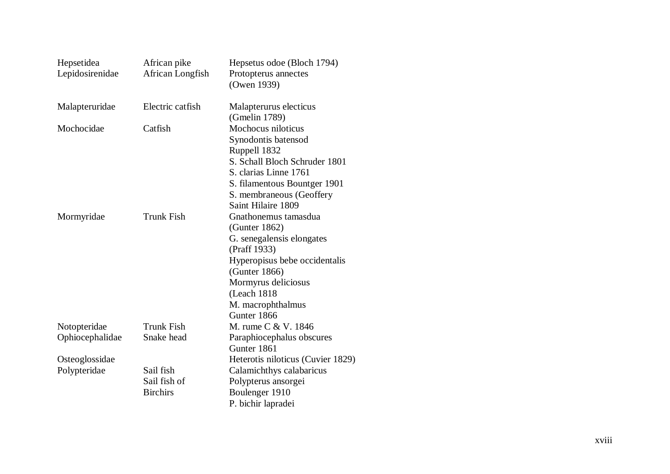| Hepsetidea      | African pike      | Hepsetus odoe (Bloch 1794)        |
|-----------------|-------------------|-----------------------------------|
| Lepidosirenidae | African Longfish  | Protopterus annectes              |
|                 |                   | (Owen 1939)                       |
| Malapteruridae  | Electric catfish  | Malapterurus electicus            |
|                 |                   | (Gmelin 1789)                     |
| Mochocidae      | Catfish           | Mochocus niloticus                |
|                 |                   | Synodontis batensod               |
|                 |                   | Ruppell 1832                      |
|                 |                   | S. Schall Bloch Schruder 1801     |
|                 |                   | S. clarias Linne 1761             |
|                 |                   | S. filamentous Bountger 1901      |
|                 |                   | S. membraneous (Geoffery          |
|                 |                   | Saint Hilaire 1809                |
| Mormyridae      | <b>Trunk Fish</b> | Gnathonemus tamasdua              |
|                 |                   | (Gunter 1862)                     |
|                 |                   | G. senegalensis elongates         |
|                 |                   | (Praff 1933)                      |
|                 |                   | Hyperopisus bebe occidentalis     |
|                 |                   | (Gunter 1866)                     |
|                 |                   | Mormyrus deliciosus               |
|                 |                   | (Leach 1818                       |
|                 |                   | M. macrophthalmus                 |
|                 |                   | Gunter 1866                       |
| Notopteridae    | <b>Trunk Fish</b> | M. rume C & V. 1846               |
| Ophiocephalidae | Snake head        | Paraphiocephalus obscures         |
|                 |                   | Gunter 1861                       |
| Osteoglossidae  |                   | Heterotis niloticus (Cuvier 1829) |
| Polypteridae    | Sail fish         | Calamichthys calabaricus          |
|                 | Sail fish of      | Polypterus ansorgei               |
|                 | <b>Birchirs</b>   | Boulenger 1910                    |
|                 |                   | P. bichir lapradei                |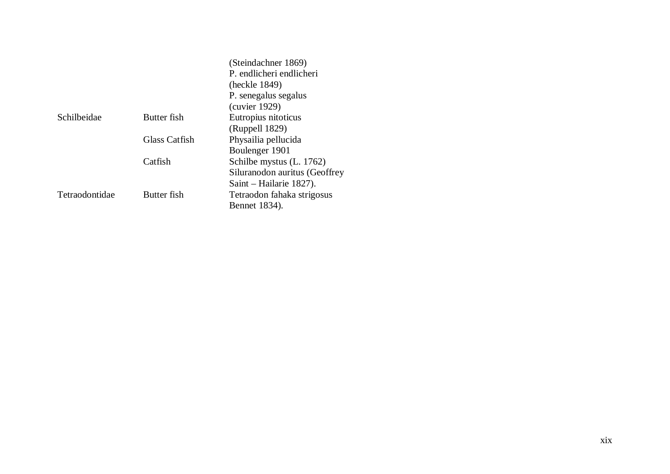|                |               | (Steindachner 1869)           |
|----------------|---------------|-------------------------------|
|                |               | P. endlicheri endlicheri      |
|                |               | (heckle 1849)                 |
|                |               | P. senegalus segalus          |
|                |               | (cuvier 1929)                 |
| Schilbeidae    | Butter fish   | Eutropius nitoticus           |
|                |               | (Ruppell 1829)                |
|                | Glass Catfish | Physailia pellucida           |
|                |               | Boulenger 1901                |
|                | Catfish       | Schilbe mystus (L. 1762)      |
|                |               | Siluranodon auritus (Geoffrey |
|                |               | Saint – Hailarie 1827).       |
| Tetraodontidae | Butter fish   | Tetraodon fahaka strigosus    |
|                |               | Bennet 1834).                 |
|                |               |                               |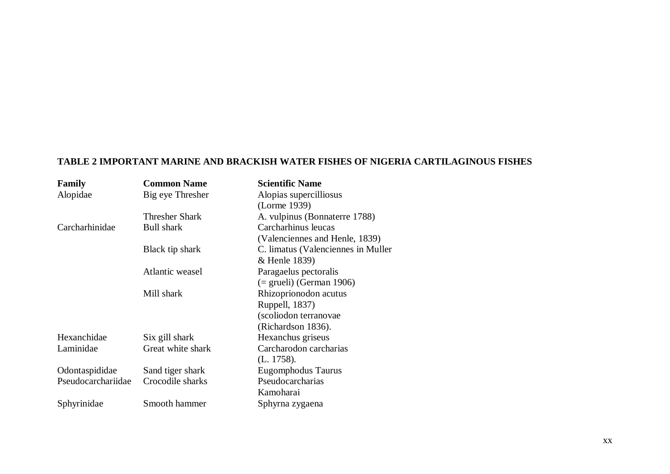# **TABLE 2 IMPORTANT MARINE AND BRACKISH WATER FISHES OF NIGERIA CARTILAGINOUS FISHES**

| <b>Family</b>      | <b>Common Name</b> | <b>Scientific Name</b>              |
|--------------------|--------------------|-------------------------------------|
| Alopidae           | Big eye Thresher   | Alopias supercilliosus              |
|                    |                    | (Lorme 1939)                        |
|                    | Thresher Shark     | A. vulpinus (Bonnaterre 1788)       |
| Carcharhinidae     | <b>Bull shark</b>  | Carcharhinus leucas                 |
|                    |                    | (Valenciennes and Henle, 1839)      |
|                    | Black tip shark    | C. limatus (Valenciennes in Muller) |
|                    |                    | & Henle 1839)                       |
|                    | Atlantic weasel    | Paragaelus pectoralis               |
|                    |                    | $($ = grueli) (German 1906)         |
|                    | Mill shark         | Rhizoprionodon acutus               |
|                    |                    | Ruppell, 1837)                      |
|                    |                    | (scoliodon terranovae               |
|                    |                    | (Richardson 1836).                  |
| Hexanchidae        | Six gill shark     | Hexanchus griseus                   |
| Laminidae          | Great white shark  | Carcharodon carcharias              |
|                    |                    | (L. 1758).                          |
| Odontaspididae     | Sand tiger shark   | Eugomphodus Taurus                  |
| Pseudocarchariidae | Crocodile sharks   | Pseudocarcharias                    |
|                    |                    | Kamoharai                           |
| Sphyrinidae        | Smooth hammer      | Sphyrna zygaena                     |
|                    |                    |                                     |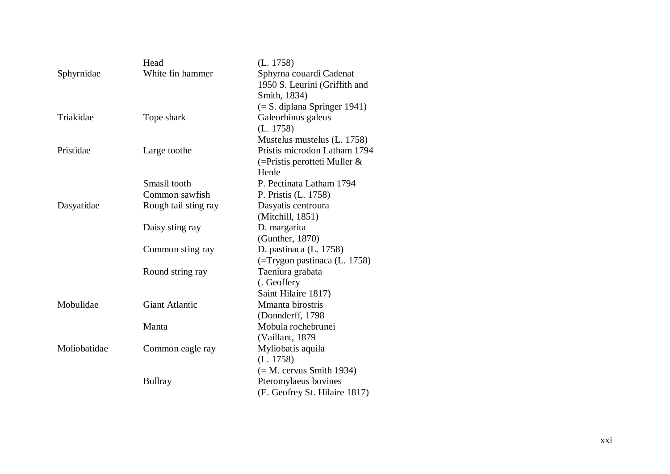|              | Head                  | (L. 1758)                       |
|--------------|-----------------------|---------------------------------|
| Sphyrnidae   | White fin hammer      | Sphyrna couardi Cadenat         |
|              |                       | 1950 S. Leurini (Griffith and   |
|              |                       | Smith, 1834)                    |
|              |                       | $(= S.$ diplana Springer 1941)  |
| Triakidae    | Tope shark            | Galeorhinus galeus              |
|              |                       | (L. 1758)                       |
|              |                       | Mustelus mustelus (L. 1758)     |
| Pristidae    | Large toothe          | Pristis microdon Latham 1794    |
|              |                       | $($ =Pristis perotteti Muller & |
|              |                       | Henle                           |
|              | Smasll tooth          | P. Pectinata Latham 1794        |
|              | Common sawfish        | P. Pristis (L. 1758)            |
| Dasyatidae   | Rough tail sting ray  | Dasyatis centroura              |
|              |                       | (Mitchill, 1851)                |
|              | Daisy sting ray       | D. margarita                    |
|              |                       | (Gunther, 1870)                 |
|              | Common sting ray      | D. pastinaca (L. 1758)          |
|              |                       | (=Trygon pastinaca (L. 1758)    |
|              | Round string ray      | Taeniura grabata                |
|              |                       | (. Geoffery                     |
|              |                       | Saint Hilaire 1817)             |
| Mobulidae    | <b>Giant Atlantic</b> | Mmanta birostris                |
|              |                       | (Donnderff, 1798)               |
|              | Manta                 | Mobula rochebrunei              |
|              |                       | (Vaillant, 1879                 |
| Moliobatidae | Common eagle ray      | Myliobatis aquila               |
|              |                       | (L. 1758)                       |
|              |                       | $(= M.$ cervus Smith 1934)      |
|              | <b>Bullray</b>        | Pteromylaeus bovines            |
|              |                       | (E. Geofrey St. Hilaire 1817)   |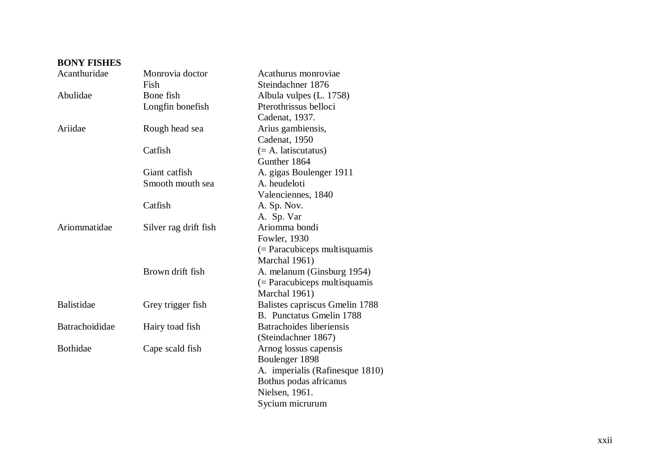| <b>BONY FISHES</b> |                       |                                 |
|--------------------|-----------------------|---------------------------------|
| Acanthuridae       | Monrovia doctor       | Acathurus monroviae             |
|                    | Fish                  | Steindachner 1876               |
| Abulidae           | Bone fish             | Albula vulpes (L. 1758)         |
|                    | Longfin bonefish      | Pterothrissus belloci           |
|                    |                       | Cadenat, 1937.                  |
| Ariidae            | Rough head sea        | Arius gambiensis,               |
|                    |                       | Cadenat, 1950                   |
|                    | Catfish               | $(= A.$ latiscutatus)           |
|                    |                       | Gunther 1864                    |
|                    | Giant catfish         | A. gigas Boulenger 1911         |
|                    | Smooth mouth sea      | A. heudeloti                    |
|                    |                       | Valenciennes, 1840              |
|                    | Catfish               | A. Sp. Nov.                     |
|                    |                       | A. Sp. Var                      |
| Ariommatidae       | Silver rag drift fish | Ariomma bondi                   |
|                    |                       | Fowler, 1930                    |
|                    |                       | $($ = Paracubiceps multisquamis |
|                    |                       | Marchal 1961)                   |
|                    | Brown drift fish      | A. melanum (Ginsburg 1954)      |
|                    |                       | $($ = Paracubiceps multisquamis |
|                    |                       | Marchal 1961)                   |
| <b>Balistidae</b>  | Grey trigger fish     | Balistes capriscus Gmelin 1788  |
|                    |                       | B. Punctatus Gmelin 1788        |
| Batrachoididae     | Hairy toad fish       | Batrachoides liberiensis        |
|                    |                       | (Steindachner 1867)             |
| <b>Bothidae</b>    | Cape scald fish       | Arnog lossus capensis           |
|                    |                       | Boulenger 1898                  |
|                    |                       | A. imperialis (Rafinesque 1810) |
|                    |                       | Bothus podas africanus          |
|                    |                       | Nielsen, 1961.                  |
|                    |                       | Sycium micrurum                 |

# xxii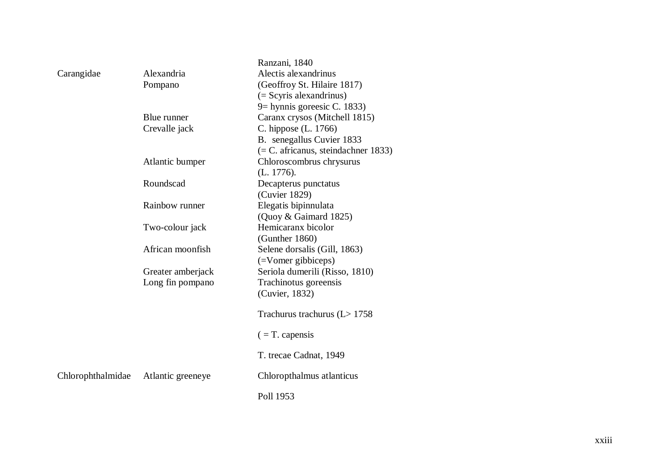|                   |                   | Ranzani, 1840                         |
|-------------------|-------------------|---------------------------------------|
| Carangidae        | Alexandria        | Alectis alexandrinus                  |
|                   | Pompano           | (Geoffroy St. Hilaire 1817)           |
|                   |                   | $($ = Scyris alexandrinus $)$         |
|                   |                   | 9 = hynnis goreesic C. 1833)          |
|                   | Blue runner       | Caranx crysos (Mitchell 1815)         |
|                   | Crevalle jack     | C. hippose (L. 1766)                  |
|                   |                   | B. senegallus Cuvier 1833             |
|                   |                   | $(= C.$ africanus, steindachner 1833) |
|                   | Atlantic bumper   | Chloroscombrus chrysurus              |
|                   |                   | (L. 1776).                            |
|                   | Roundscad         | Decapterus punctatus                  |
|                   |                   | (Cuvier 1829)                         |
|                   | Rainbow runner    | Elegatis bipinnulata                  |
|                   |                   | (Quoy & Gaimard 1825)                 |
|                   | Two-colour jack   | Hemicaranx bicolor                    |
|                   |                   | (Gunther 1860)                        |
|                   | African moonfish  | Selene dorsalis (Gill, 1863)          |
|                   |                   | (=Vomer gibbiceps)                    |
|                   | Greater amberjack | Seriola dumerili (Risso, 1810)        |
|                   | Long fin pompano  | Trachinotus goreensis                 |
|                   |                   | (Cuvier, 1832)                        |
|                   |                   | Trachurus trachurus ( $L > 1758$      |
|                   |                   | $($ = T. capensis                     |
|                   |                   | T. trecae Cadnat, 1949                |
| Chlorophthalmidae | Atlantic greeneye | Chloropthalmus atlanticus             |
|                   |                   | Poll 1953                             |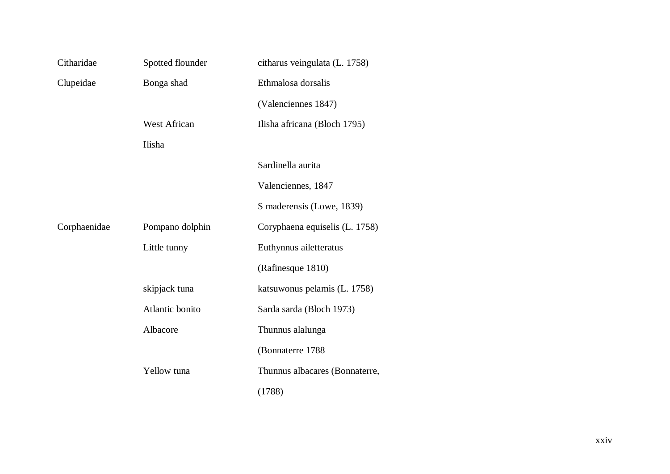| Citharidae   | Spotted flounder | citharus veingulata (L. 1758)  |
|--------------|------------------|--------------------------------|
| Clupeidae    | Bonga shad       | Ethmalosa dorsalis             |
|              |                  | (Valenciennes 1847)            |
|              | West African     | Ilisha africana (Bloch 1795)   |
|              | Ilisha           |                                |
|              |                  | Sardinella aurita              |
|              |                  | Valenciennes, 1847             |
|              |                  | S maderensis (Lowe, 1839)      |
| Corphaenidae | Pompano dolphin  | Coryphaena equiselis (L. 1758) |
|              | Little tunny     | Euthynnus ailetteratus         |
|              |                  | (Rafinesque 1810)              |
|              | skipjack tuna    | katsuwonus pelamis (L. 1758)   |
|              | Atlantic bonito  | Sarda sarda (Bloch 1973)       |
|              | Albacore         | Thunnus alalunga               |
|              |                  | (Bonnaterre 1788               |
|              | Yellow tuna      | Thunnus albacares (Bonnaterre, |
|              |                  | (1788)                         |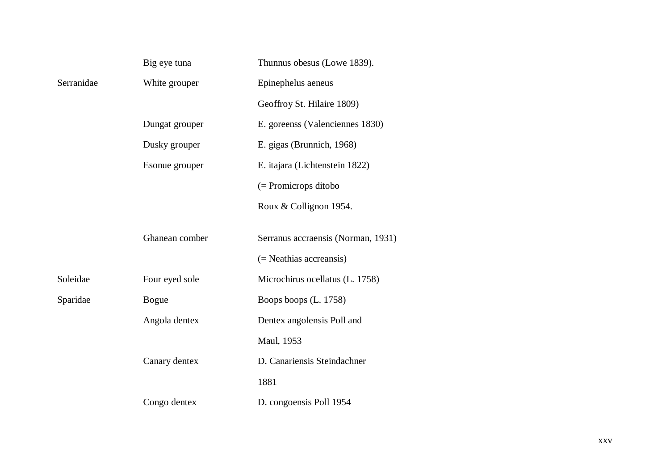|            | Big eye tuna   | Thunnus obesus (Lowe 1839).        |
|------------|----------------|------------------------------------|
| Serranidae | White grouper  | Epinephelus aeneus                 |
|            |                | Geoffroy St. Hilaire 1809)         |
|            | Dungat grouper | E. goreenss (Valenciennes 1830)    |
|            | Dusky grouper  | E. gigas (Brunnich, 1968)          |
|            | Esonue grouper | E. itajara (Lichtenstein 1822)     |
|            |                | $($ = Promicrops ditobo            |
|            |                | Roux & Collignon 1954.             |
|            |                |                                    |
|            | Ghanean comber | Serranus accraensis (Norman, 1931) |
|            |                | (= Neathias accreansis)            |
| Soleidae   | Four eyed sole | Microchirus ocellatus (L. 1758)    |
| Sparidae   | <b>Bogue</b>   | Boops boops (L. 1758)              |
|            | Angola dentex  | Dentex angolensis Poll and         |
|            |                | Maul, 1953                         |
|            | Canary dentex  | D. Canariensis Steindachner        |
|            |                | 1881                               |
|            | Congo dentex   | D. congoensis Poll 1954            |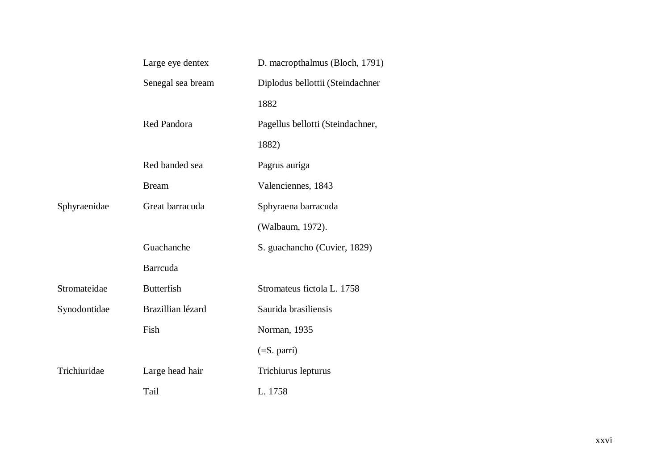|              | Large eye dentex  | D. macropthalmus (Bloch, 1791)   |
|--------------|-------------------|----------------------------------|
|              | Senegal sea bream | Diplodus bellottii (Steindachner |
|              |                   | 1882                             |
|              | Red Pandora       | Pagellus bellotti (Steindachner, |
|              |                   | 1882)                            |
|              | Red banded sea    | Pagrus auriga                    |
|              | <b>Bream</b>      | Valenciennes, 1843               |
| Sphyraenidae | Great barracuda   | Sphyraena barracuda              |
|              |                   | (Walbaum, 1972).                 |
|              | Guachanche        | S. guachancho (Cuvier, 1829)     |
|              | <b>Barrcuda</b>   |                                  |
| Stromateidae | <b>Butterfish</b> | Stromateus fictola L. 1758       |
| Synodontidae | Brazillian lézard | Saurida brasiliensis             |
|              | Fish              | Norman, 1935                     |
|              |                   | $(=S.$ parri $)$                 |
| Trichiuridae | Large head hair   | Trichiurus lepturus              |
|              | Tail              | L. 1758                          |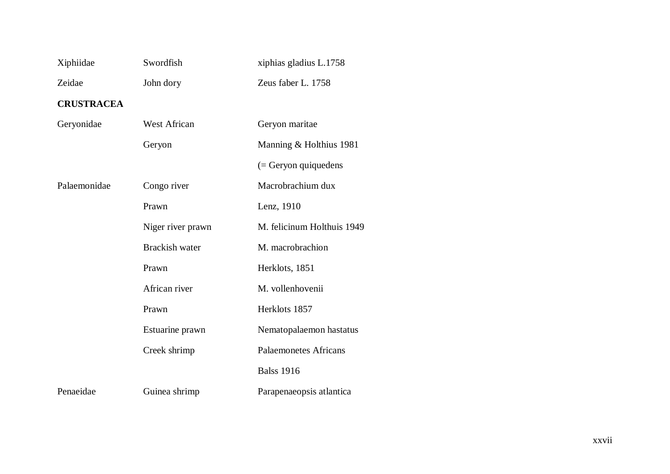| Xiphiidae         | Swordfish             | xiphias gladius L.1758       |
|-------------------|-----------------------|------------------------------|
| Zeidae            | John dory             | Zeus faber L. 1758           |
| <b>CRUSTRACEA</b> |                       |                              |
| Geryonidae        | <b>West African</b>   | Geryon maritae               |
|                   | Geryon                | Manning & Holthius 1981      |
|                   |                       | $($ = Geryon quiquedens      |
| Palaemonidae      | Congo river           | Macrobrachium dux            |
|                   | Prawn                 | Lenz, 1910                   |
|                   | Niger river prawn     | M. felicinum Holthuis 1949   |
|                   | <b>Brackish water</b> | M. macrobrachion             |
|                   | Prawn                 | Herklots, 1851               |
|                   | African river         | M. vollenhovenii             |
|                   | Prawn                 | Herklots 1857                |
|                   | Estuarine prawn       | Nematopalaemon hastatus      |
|                   | Creek shrimp          | <b>Palaemonetes Africans</b> |
|                   |                       | <b>Balss 1916</b>            |
| Penaeidae         | Guinea shrimp         | Parapenaeopsis atlantica     |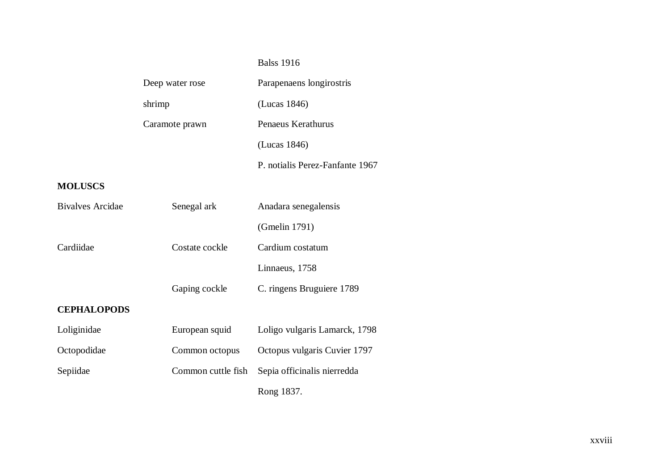# Balss 1916

| Deep water rose | Parapenaens longirostris        |
|-----------------|---------------------------------|
| shrimp          | (Lucas 1846)                    |
| Caramote prawn  | Penaeus Kerathurus              |
|                 | (Lucas 1846)                    |
|                 | P. notialis Perez-Fanfante 1967 |

# **MOLUSCS**

| Bivalves Arcidae   | Senegal ark        | Anadara senegalensis          |
|--------------------|--------------------|-------------------------------|
|                    |                    | (Gmelin 1791)                 |
| Cardiidae          | Costate cockle     | Cardium costatum              |
|                    |                    | Linnaeus, 1758                |
|                    | Gaping cockle      | C. ringens Bruguiere 1789     |
| <b>CEPHALOPODS</b> |                    |                               |
| Loliginidae        | European squid     | Loligo vulgaris Lamarck, 1798 |
| Octopodidae        | Common octopus     | Octopus vulgaris Cuvier 1797  |
| Sepiidae           | Common cuttle fish | Sepia officinalis nierredda   |
|                    |                    | Rong 1837.                    |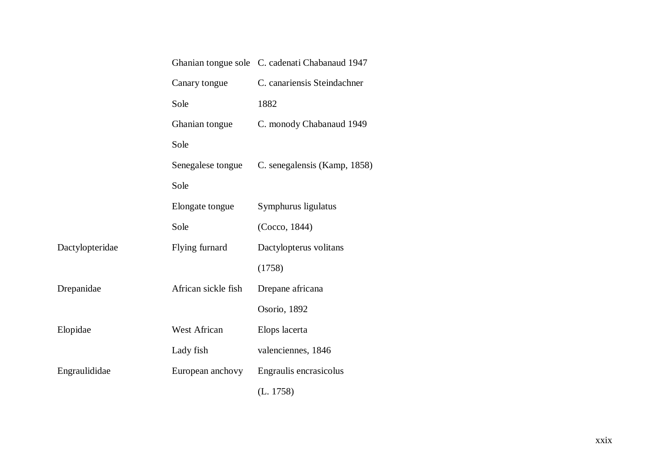|                 |                     | Ghanian tongue sole C. cadenati Chabanaud 1947 |
|-----------------|---------------------|------------------------------------------------|
|                 | Canary tongue       | C. canariensis Steindachner                    |
|                 | Sole                | 1882                                           |
|                 | Ghanian tongue      | C. monody Chabanaud 1949                       |
|                 | Sole                |                                                |
|                 | Senegalese tongue   | C. senegalensis (Kamp, 1858)                   |
|                 | Sole                |                                                |
|                 | Elongate tongue     | Symphurus ligulatus                            |
|                 | Sole                | (Cocco, 1844)                                  |
| Dactylopteridae | Flying furnard      | Dactylopterus volitans                         |
|                 |                     | (1758)                                         |
| Drepanidae      | African sickle fish | Drepane africana                               |
|                 |                     | Osorio, 1892                                   |
| Elopidae        | West African        | Elops lacerta                                  |
|                 | Lady fish           | valenciennes, 1846                             |
| Engraulididae   | European anchovy    | Engraulis encrasicolus                         |
|                 |                     | (L. 1758)                                      |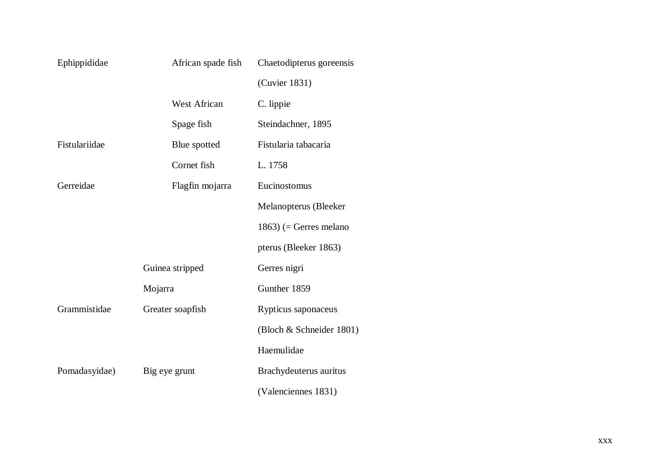| Ephippididae  | African spade fish  | Chaetodipterus goreensis  |
|---------------|---------------------|---------------------------|
|               |                     | (Cuvier 1831)             |
|               | <b>West African</b> | C. lippie                 |
|               | Spage fish          | Steindachner, 1895        |
| Fistulariidae | Blue spotted        | Fistularia tabacaria      |
|               | Cornet fish         | L. 1758                   |
| Gerreidae     | Flagfin mojarra     | Eucinostomus              |
|               |                     | Melanopterus (Bleeker     |
|               |                     | $1863$ ) (= Gerres melano |
|               |                     | pterus (Bleeker 1863)     |
|               | Guinea stripped     | Gerres nigri              |
|               | Mojarra             | Gunther 1859              |
| Grammistidae  | Greater soapfish    | Rypticus saponaceus       |
|               |                     | (Bloch & Schneider 1801)  |
|               |                     | Haemulidae                |
| Pomadasyidae) | Big eye grunt       | Brachydeuterus auritus    |
|               |                     | (Valenciennes 1831)       |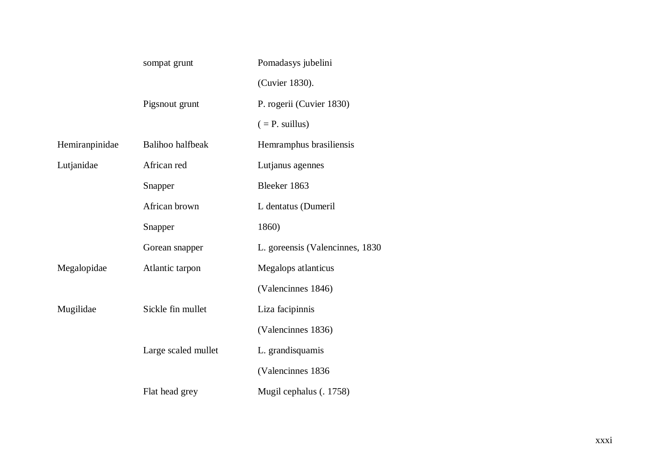|                | sompat grunt        | Pomadasys jubelini               |
|----------------|---------------------|----------------------------------|
|                |                     | (Cuvier 1830).                   |
|                | Pigsnout grunt      | P. rogerii (Cuvier 1830)         |
|                |                     | $( = P. \text{ willus})$         |
| Hemiranpinidae | Balihoo halfbeak    | Hemramphus brasiliensis          |
| Lutjanidae     | African red         | Lutjanus agennes                 |
|                | Snapper             | Bleeker 1863                     |
|                | African brown       | L dentatus (Dumeril              |
|                | Snapper             | 1860)                            |
|                | Gorean snapper      | L. goreensis (Valencinnes, 1830) |
| Megalopidae    | Atlantic tarpon     | Megalops atlanticus              |
|                |                     | (Valencinnes 1846)               |
| Mugilidae      | Sickle fin mullet   | Liza facipinnis                  |
|                |                     | (Valencinnes 1836)               |
|                | Large scaled mullet | L. grandisquamis                 |
|                |                     | (Valencinnes 1836                |
|                | Flat head grey      | Mugil cephalus (. 1758)          |
|                |                     |                                  |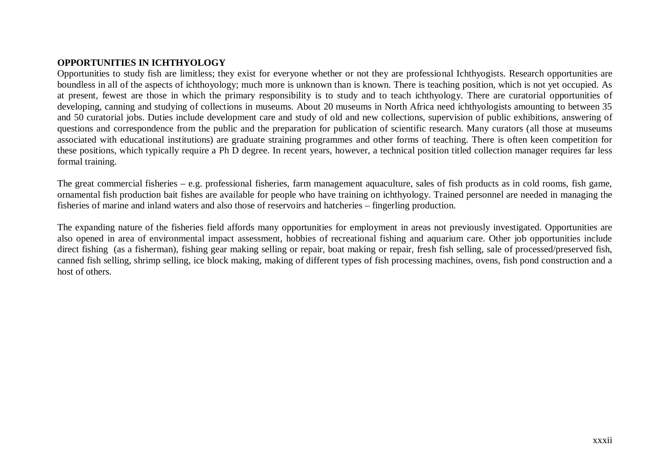### **OPPORTUNITIES IN ICHTHYOLOGY**

Opportunities to study fish are limitless; they exist for everyone whether or not they are professional Ichthyogists. Research opportunities are boundless in all of the aspects of ichthoyology; much more is unknown than is known. There is teaching position, which is not yet occupied. As at present, fewest are those in which the primary responsibility is to study and to teach ichthyology. There are curatorial opportunities of developing, canning and studying of collections in museums. About 20 museums in North Africa need ichthyologists amounting to between 35 and 50 curatorial jobs. Duties include development care and study of old and new collections, supervision of public exhibitions, answering of questions and correspondence from the public and the preparation for publication of scientific research. Many curators (all those at museums associated with educational institutions) are graduate straining programmes and other forms of teaching. There is often keen competition for these positions, which typically require a Ph D degree. In recent years, however, a technical position titled collection manager requires far less formal training.

The great commercial fisheries – e.g. professional fisheries, farm management aquaculture, sales of fish products as in cold rooms, fish game, ornamental fish production bait fishes are available for people who have training on ichthyology. Trained personnel are needed in managing the fisheries of marine and inland waters and also those of reservoirs and hatcheries – fingerling production.

The expanding nature of the fisheries field affords many opportunities for employment in areas not previously investigated. Opportunities are also opened in area of environmental impact assessment, hobbies of recreational fishing and aquarium care. Other job opportunities include direct fishing (as a fisherman), fishing gear making selling or repair, boat making or repair, fresh fish selling, sale of processed/preserved fish, canned fish selling, shrimp selling, ice block making, making of different types of fish processing machines, ovens, fish pond construction and a host of others.